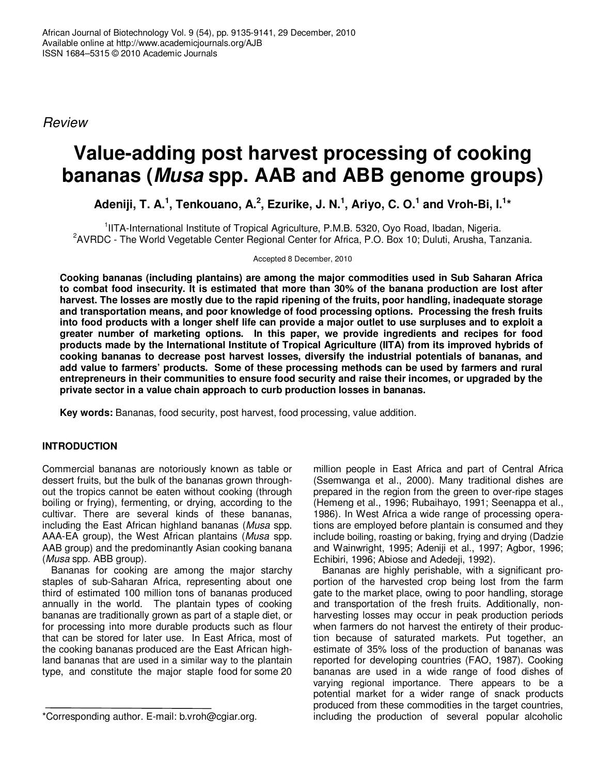*Review*

# **Value-adding post harvest processing of cooking bananas (***Musa* **spp. AAB and ABB genome groups)**

Adeniji, T. A.<sup>1</sup>, Tenkouano, A.<sup>2</sup>, Ezurike, J. N.<sup>1</sup>, Ariyo, C. O.<sup>1</sup> and Vroh-Bi, I.<sup>1</sup>\*

<sup>1</sup>IITA-International Institute of Tropical Agriculture, P.M.B. 5320, Oyo Road, Ibadan, Nigeria. <sup>2</sup>AVRDC - The World Vegetable Center Regional Center for Africa, P.O. Box 10; Duluti, Arusha, Tanzania.

Accepted 8 December, 2010

**Cooking bananas (including plantains) are among the major commodities used in Sub Saharan Africa** to combat food insecurity. It is estimated that more than 30% of the banana production are lost after **harvest. The losses are mostly due to the rapid ripening of the fruits, poor handling, inadequate storage and transportation means, and poor knowledge of food processing options. Processing the fresh fruits** into food products with a longer shelf life can provide a major outlet to use surpluses and to exploit a **greater number of marketing options. In this paper, we provide ingredients and recipes for food products made by the International Institute of Tropical Agriculture (IITA) from its improved hybrids of cooking bananas to decrease post harvest losses, diversify the industrial potentials of bananas, and add value to farmers' products. Some of these processing methods can be used by farmers and rural entrepreneurs in their communities to ensure food security and raise their incomes, or upgraded by the private sector in a value chain approach to curb production losses in bananas.**

**Key words:** Bananas, food security, post harvest, food processing, value addition.

## **INTRODUCTION**

Commercial bananas are notoriously known as table or dessert fruits, but the bulk of the bananas grown throughout the tropics cannot be eaten without cooking (through boiling or frying), fermenting, or drying, according to the cultivar. There are several kinds of these bananas, including the East African highland bananas (*Musa* spp. AAA-EA group), the West African plantains (*Musa* spp. AAB group) and the predominantly Asian cooking banana (*Musa* spp. ABB group).

Bananas for cooking are among the major starchy staples of sub-Saharan Africa, representing about one third of estimated 100 million tons of bananas produced annually in the world. The plantain types of cooking bananas are traditionally grown as part of a staple diet, or for processing into more durable products such as flour that can be stored for later use. In East Africa, most of the cooking bananas produced are the East African highland bananas that are used in a similar way to the plantain type, and constitute the major staple food for some 20

million people in East Africa and part of Central Africa (Ssemwanga et al., 2000). Many traditional dishes are prepared in the region from the green to over-ripe stages (Hemeng et al., 1996; Rubaihayo, 1991; Seenappa et al., 1986). In West Africa a wide range of processing operations are employed before plantain is consumed and they include boiling, roasting or baking, frying and drying (Dadzie and Wainwright, 1995; Adeniji et al., 1997; Agbor, 1996; Echibiri, 1996; Abiose and Adedeji, 1992).

Bananas are highly perishable, with a significant proportion of the harvested crop being lost from the farm gate to the market place, owing to poor handling, storage and transportation of the fresh fruits. Additionally, nonharvesting losses may occur in peak production periods when farmers do not harvest the entirety of their production because of saturated markets. Put together, an estimate of 35% loss of the production of bananas was reported for developing countries (FAO, 1987). Cooking bananas are used in a wide range of food dishes of varying regional importance. There appears to be a potential market for a wider range of snack products produced from these commodities in the target countries, including the production of several popular alcoholic

<sup>\*</sup>Corresponding author. E-mail: b.vroh@cgiar.org.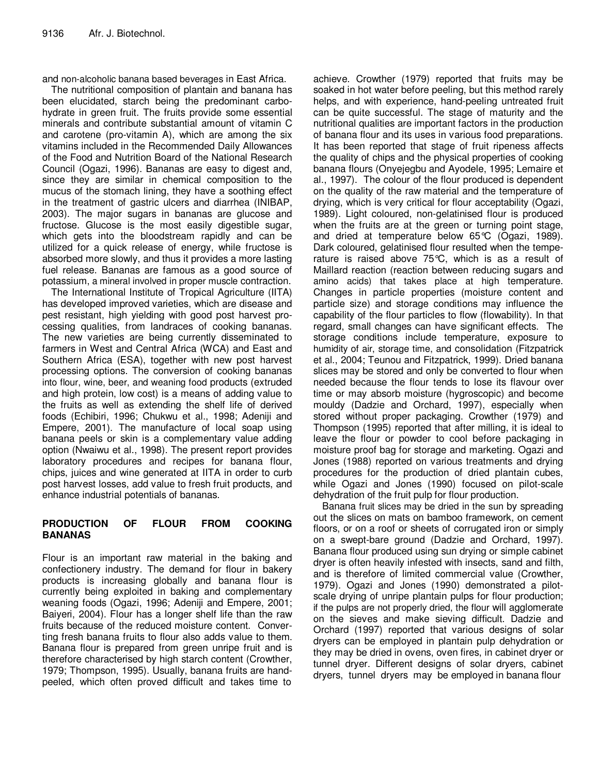and non-alcoholic banana based beverages in East Africa.

The nutritional composition of plantain and banana has been elucidated, starch being the predominant carbohydrate in green fruit. The fruits provide some essential minerals and contribute substantial amount of vitamin C and carotene (pro-vitamin A), which are among the six vitamins included in the Recommended Daily Allowances of the Food and Nutrition Board of the National Research Council (Ogazi, 1996). Bananas are easy to digest and, since they are similar in chemical composition to the mucus of the stomach lining, they have a soothing effect in the treatment of gastric ulcers and diarrhea (INIBAP, 2003). The major sugars in bananas are glucose and fructose. Glucose is the most easily digestible sugar, which gets into the bloodstream rapidly and can be utilized for a quick release of energy, while fructose is absorbed more slowly, and thus it provides a more lasting fuel release. Bananas are famous as a good source of potassium, a mineral involved in proper muscle contraction.

The International Institute of Tropical Agriculture (IITA) has developed improved varieties, which are disease and pest resistant, high yielding with good post harvest processing qualities, from landraces of cooking bananas. The new varieties are being currently disseminated to farmers in West and Central Africa (WCA) and East and Southern Africa (ESA), together with new post harvest processing options. The conversion of cooking bananas into flour, wine, beer, and weaning food products (extruded and high protein, low cost) is a means of adding value to the fruits as well as extending the shelf life of derived foods (Echibiri, 1996; Chukwu et al., 1998; Adeniji and Empere, 2001). The manufacture of local soap using banana peels or skin is a complementary value adding option (Nwaiwu et al., 1998). The present report provides laboratory procedures and recipes for banana flour, chips, juices and wine generated at IITA in order to curb post harvest losses, add value to fresh fruit products, and enhance industrial potentials of bananas.

## **PRODUCTION OF FLOUR FROM COOKING BANANAS**

Flour is an important raw material in the baking and confectionery industry. The demand for flour in bakery products is increasing globally and banana flour is currently being exploited in baking and complementary weaning foods (Ogazi, 1996; Adeniji and Empere, 2001; Baiyeri, 2004). Flour has a longer shelf life than the raw fruits because of the reduced moisture content. Converting fresh banana fruits to flour also adds value to them. Banana flour is prepared from green unripe fruit and is therefore characterised by high starch content (Crowther, 1979; Thompson, 1995). Usually, banana fruits are handpeeled, which often proved difficult and takes time to

achieve. Crowther (1979) reported that fruits may be soaked in hot water before peeling, but this method rarely helps, and with experience, hand-peeling untreated fruit can be quite successful. The stage of maturity and the nutritional qualities are important factors in the production of banana flour and its uses in various food preparations. It has been reported that stage of fruit ripeness affects the quality of chips and the physical properties of cooking banana flours (Onyejegbu and Ayodele, 1995; Lemaire et al., 1997). The colour of the flour produced is dependent on the quality of the raw material and the temperature of drying, which is very critical for flour acceptability (Ogazi, 1989). Light coloured, non-gelatinised flour is produced when the fruits are at the green or turning point stage, and dried at temperature below 65°C (Ogazi, 1989). Dark coloured, gelatinised flour resulted when the temperature is raised above 75°C, which is as a result of Maillard reaction (reaction between reducing sugars and amino acids) that takes place at high temperature. Changes in particle properties (moisture content and particle size) and storage conditions may influence the capability of the flour particles to flow (flowability). In that regard, small changes can have significant effects. The storage conditions include temperature, exposure to humidity of air, storage time, and consolidation (Fitzpatrick et al., 2004; Teunou and Fitzpatrick, 1999). Dried banana slices may be stored and only be converted to flour when needed because the flour tends to lose its flavour over time or may absorb moisture (hygroscopic) and become mouldy (Dadzie and Orchard, 1997), especially when stored without proper packaging. Crowther (1979) and Thompson (1995) reported that after milling, it is ideal to leave the flour or powder to cool before packaging in moisture proof bag for storage and marketing. Ogazi and Jones (1988) reported on various treatments and drying procedures for the production of dried plantain cubes, while Ogazi and Jones (1990) focused on pilot-scale dehydration of the fruit pulp for flour production.

Banana fruit slices may be dried in the sun by spreading out the slices on mats on bamboo framework, on cement floors, or on a roof or sheets of corrugated iron or simply on a swept-bare ground (Dadzie and Orchard, 1997). Banana flour produced using sun drying or simple cabinet dryer is often heavily infested with insects, sand and filth, and is therefore of limited commercial value (Crowther, 1979). Ogazi and Jones (1990) demonstrated a pilotscale drying of unripe plantain pulps for flour production; if the pulps are not properly dried, the flour will agglomerate on the sieves and make sieving difficult. Dadzie and Orchard (1997) reported that various designs of solar dryers can be employed in plantain pulp dehydration or they may be dried in ovens, oven fires, in cabinet dryer or tunnel dryer. Different designs of solar dryers, cabinet dryers, tunnel dryers may be employed in banana flour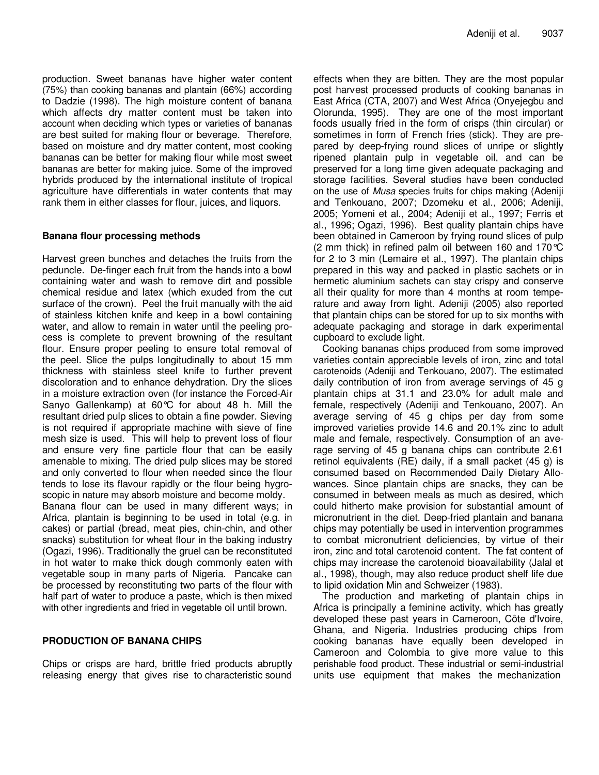production. Sweet bananas have higher water content (75%) than cooking bananas and plantain (66%) according to Dadzie (1998). The high moisture content of banana which affects dry matter content must be taken into account when deciding which types or varieties of bananas are best suited for making flour or beverage. Therefore, based on moisture and dry matter content, most cooking bananas can be better for making flour while most sweet bananas are better for making juice. Some of the improved hybrids produced by the international institute of tropical agriculture have differentials in water contents that may rank them in either classes for flour, juices, and liquors.

#### **Banana flour processing methods**

Harvest green bunches and detaches the fruits from the peduncle. De-finger each fruit from the hands into a bowl containing water and wash to remove dirt and possible chemical residue and latex (which exuded from the cut surface of the crown). Peel the fruit manually with the aid of stainless kitchen knife and keep in a bowl containing water, and allow to remain in water until the peeling process is complete to prevent browning of the resultant flour. Ensure proper peeling to ensure total removal of the peel. Slice the pulps longitudinally to about 15 mm thickness with stainless steel knife to further prevent discoloration and to enhance dehydration. Dry the slices in a moisture extraction oven (for instance the Forced-Air Sanyo Gallenkamp) at 60°C for about 48 h. Mill the resultant dried pulp slices to obtain a fine powder. Sieving is not required if appropriate machine with sieve of fine mesh size is used. This will help to prevent loss of flour and ensure very fine particle flour that can be easily amenable to mixing. The dried pulp slices may be stored and only converted to flour when needed since the flour tends to lose its flavour rapidly or the flour being hygroscopic in nature may absorb moisture and become moldy.

Banana flour can be used in many different ways; in Africa, plantain is beginning to be used in total (e.g. in cakes) or partial (bread, meat pies, chin-chin, and other snacks) substitution for wheat flour in the baking industry (Ogazi, 1996). Traditionally the gruel can be reconstituted in hot water to make thick dough commonly eaten with vegetable soup in many parts of Nigeria. Pancake can be processed by reconstituting two parts of the flour with half part of water to produce a paste, which is then mixed with other ingredients and fried in vegetable oil until brown.

#### **PRODUCTION OF BANANA CHIPS**

Chips or crisps are hard, brittle fried products abruptly releasing energy that gives rise to characteristic sound effects when they are bitten. They are the most popular post harvest processed products of cooking bananas in East Africa (CTA, 2007) and West Africa (Onyejegbu and Olorunda, 1995). They are one of the most important foods usually fried in the form of crisps (thin circular) or sometimes in form of French fries (stick). They are prepared by deep-frying round slices of unripe or slightly ripened plantain pulp in vegetable oil, and can be preserved for a long time given adequate packaging and storage facilities. Several studies have been conducted on the use of *Musa* species fruits for chips making (Adeniji and Tenkouano, 2007; Dzomeku et al., 2006; Adeniji, 2005; Yomeni et al., 2004; Adeniji et al., 1997; Ferris et al., 1996; Ogazi, 1996). Best quality plantain chips have been obtained in Cameroon by frying round slices of pulp (2 mm thick) in refined palm oil between 160 and 170°C for 2 to 3 min (Lemaire et al., 1997). The plantain chips prepared in this way and packed in plastic sachets or in hermetic aluminium sachets can stay crispy and conserve all their quality for more than 4 months at room temperature and away from light. Adeniji (2005) also reported that plantain chips can be stored for up to six months with adequate packaging and storage in dark experimental cupboard to exclude light.

Cooking bananas chips produced from some improved varieties contain appreciable levels of iron, zinc and total carotenoids (Adeniji and Tenkouano, 2007). The estimated daily contribution of iron from average servings of 45 g plantain chips at 31.1 and 23.0% for adult male and female, respectively (Adeniji and Tenkouano, 2007). An average serving of 45 g chips per day from some improved varieties provide 14.6 and 20.1% zinc to adult male and female, respectively. Consumption of an average serving of 45 g banana chips can contribute 2.61 retinol equivalents (RE) daily, if a small packet (45 g) is consumed based on Recommended Daily Dietary Allowances. Since plantain chips are snacks, they can be consumed in between meals as much as desired, which could hitherto make provision for substantial amount of micronutrient in the diet. Deep-fried plantain and banana chips may potentially be used in intervention programmes to combat micronutrient deficiencies, by virtue of their iron, zinc and total carotenoid content. The fat content of chips may increase the carotenoid bioavailability (Jalal et al., 1998), though, may also reduce product shelf life due to lipid oxidation Min and Schweizer (1983).

The production and marketing of plantain chips in Africa is principally a feminine activity, which has greatly developed these past years in Cameroon, Côte d'Ivoire, Ghana, and Nigeria. Industries producing chips from cooking bananas have equally been developed in Cameroon and Colombia to give more value to this perishable food product. These industrial or semi-industrial units use equipment that makes the mechanization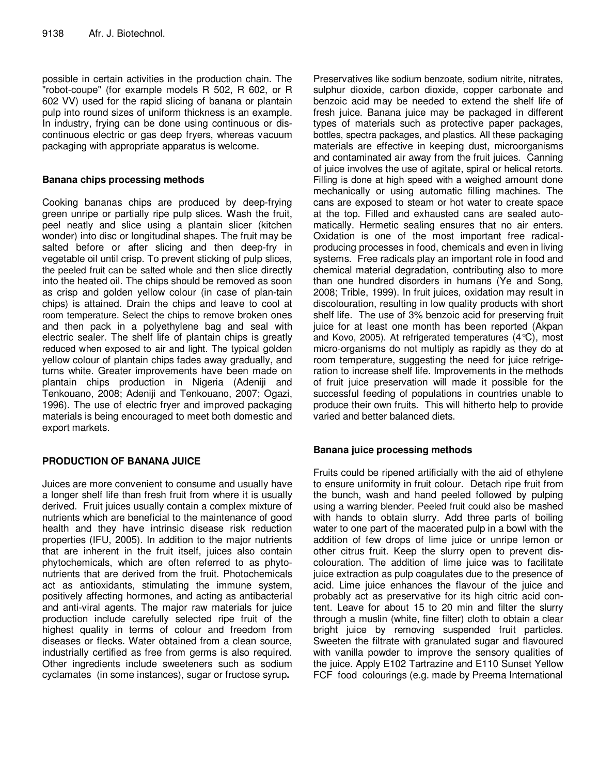possible in certain activities in the production chain. The "robot-coupe" (for example models R 502, R 602, or R 602 VV) used for the rapid slicing of banana or plantain pulp into round sizes of uniform thickness is an example. In industry, frying can be done using continuous or discontinuous electric or gas deep fryers, whereas vacuum packaging with appropriate apparatus is welcome.

## **Banana chips processing methods**

Cooking bananas chips are produced by deep-frying green unripe or partially ripe pulp slices. Wash the fruit, peel neatly and slice using a plantain slicer (kitchen wonder) into disc or longitudinal shapes. The fruit may be salted before or after slicing and then deep-fry in vegetable oil until crisp. To prevent sticking of pulp slices, the peeled fruit can be salted whole and then slice directly into the heated oil. The chips should be removed as soon as crisp and golden yellow colour (in case of plan-tain chips) is attained. Drain the chips and leave to cool at room temperature. Select the chips to remove broken ones and then pack in a polyethylene bag and seal with electric sealer. The shelf life of plantain chips is greatly reduced when exposed to air and light. The typical golden yellow colour of plantain chips fades away gradually, and turns white. Greater improvements have been made on plantain chips production in Nigeria (Adeniji and Tenkouano, 2008; Adeniji and Tenkouano, 2007; Ogazi, 1996). The use of electric fryer and improved packaging materials is being encouraged to meet both domestic and export markets.

## **PRODUCTION OF BANANA JUICE**

Juices are more convenient to consume and usually have a longer shelf life than fresh fruit from where it is usually derived. Fruit juices usually contain a complex mixture of nutrients which are beneficial to the maintenance of good health and they have intrinsic disease risk reduction properties (IFU, 2005). In addition to the major nutrients that are inherent in the fruit itself, juices also contain phytochemicals, which are often referred to as phytonutrients that are derived from the fruit. Photochemicals act as antioxidants, stimulating the immune system, positively affecting hormones, and acting as antibacterial and anti-viral agents. The major raw materials for juice production include carefully selected ripe fruit of the highest quality in terms of colour and freedom from diseases or flecks. Water obtained from a clean source, industrially certified as free from germs is also required. Other ingredients include sweeteners such as sodium cyclamates (in some instances), sugar or fructose syrup**.**

Preservatives like sodium benzoate, sodium nitrite, nitrates, sulphur dioxide, carbon dioxide, copper carbonate and benzoic acid may be needed to extend the shelf life of fresh juice. Banana juice may be packaged in different types of materials such as protective paper packages, bottles, spectra packages, and plastics. All these packaging materials are effective in keeping dust, microorganisms and contaminated air away from the fruit juices. Canning of juice involves the use of agitate, spiral or helical retorts. Filling is done at high speed with a weighed amount done mechanically or using automatic filling machines. The cans are exposed to steam or hot water to create space at the top. Filled and exhausted cans are sealed automatically. Hermetic sealing ensures that no air enters. Oxidation is one of the most important free radicalproducing processes in food, chemicals and even in living systems. Free radicals play an important role in food and chemical material degradation, contributing also to more than one hundred disorders in humans (Ye and Song, 2008; Trible, 1999). In fruit juices, oxidation may result in discolouration, resulting in low quality products with short shelf life. The use of 3% benzoic acid for preserving fruit juice for at least one month has been reported (Akpan and Kovo, 2005). At refrigerated temperatures (4°C), most micro-organisms do not multiply as rapidly as they do at room temperature, suggesting the need for juice refrigeration to increase shelf life. Improvements in the methods of fruit juice preservation will made it possible for the successful feeding of populations in countries unable to produce their own fruits. This will hitherto help to provide varied and better balanced diets.

## **Banana juice processing methods**

Fruits could be ripened artificially with the aid of ethylene to ensure uniformity in fruit colour. Detach ripe fruit from the bunch, wash and hand peeled followed by pulping using a warring blender. Peeled fruit could also be mashed with hands to obtain slurry. Add three parts of boiling water to one part of the macerated pulp in a bowl with the addition of few drops of lime juice or unripe lemon or other citrus fruit. Keep the slurry open to prevent discolouration. The addition of lime juice was to facilitate juice extraction as pulp coagulates due to the presence of acid. Lime juice enhances the flavour of the juice and probably act as preservative for its high citric acid content. Leave for about 15 to 20 min and filter the slurry through a muslin (white, fine filter) cloth to obtain a clear bright juice by removing suspended fruit particles. Sweeten the filtrate with granulated sugar and flavoured with vanilla powder to improve the sensory qualities of the juice. Apply E102 Tartrazine and E110 Sunset Yellow FCF food colourings (e.g. made by Preema International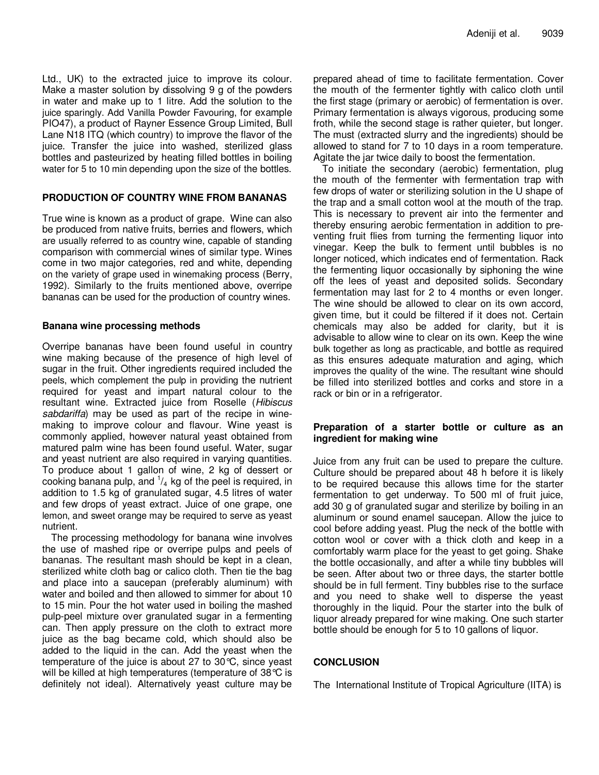Ltd., UK) to the extracted juice to improve its colour. Make a master solution by dissolving 9 g of the powders in water and make up to 1 litre. Add the solution to the juice sparingly. Add Vanilla Powder Favouring, for example PIO47), a product of Rayner Essence Group Limited, Bull Lane N18 ITQ (which country) to improve the flavor of the juice. Transfer the juice into washed, sterilized glass bottles and pasteurized by heating filled bottles in boiling water for 5 to 10 min depending upon the size of the bottles.

#### **PRODUCTION OF COUNTRY WINE FROM BANANAS**

True wine is known as a product of grape. Wine can also be produced from native fruits, berries and flowers, which are usually referred to as country wine, capable of standing comparison with commercial wines of similar type. Wines come in two major categories, red and white, depending on the variety of grape used in winemaking process (Berry, 1992). Similarly to the fruits mentioned above, overripe bananas can be used for the production of country wines.

## **Banana wine processing methods**

Overripe bananas have been found useful in country wine making because of the presence of high level of sugar in the fruit. Other ingredients required included the peels, which complement the pulp in providing the nutrient required for yeast and impart natural colour to the resultant wine. Extracted juice from Roselle (*Hibiscus sabdariffa*) may be used as part of the recipe in winemaking to improve colour and flavour. Wine yeast is commonly applied, however natural yeast obtained from matured palm wine has been found useful. Water, sugar and yeast nutrient are also required in varying quantities. To produce about 1 gallon of wine, 2 kg of dessert or cooking banana pulp, and  $\frac{1}{4}$  kg of the peel is required, in addition to 1.5 kg of granulated sugar, 4.5 litres of water and few drops of yeast extract. Juice of one grape, one lemon, and sweet orange may be required to serve as yeast nutrient.

The processing methodology for banana wine involves the use of mashed ripe or overripe pulps and peels of bananas. The resultant mash should be kept in a clean, sterilized white cloth bag or calico cloth. Then tie the bag and place into a saucepan (preferably aluminum) with water and boiled and then allowed to simmer for about 10 to 15 min. Pour the hot water used in boiling the mashed pulp-peel mixture over granulated sugar in a fermenting can. Then apply pressure on the cloth to extract more juice as the bag became cold, which should also be added to the liquid in the can. Add the yeast when the temperature of the juice is about 27 to 30°C, since yeast will be killed at high temperatures (temperature of 38 °C is definitely not ideal). Alternatively yeast culture may be

prepared ahead of time to facilitate fermentation. Cover the mouth of the fermenter tightly with calico cloth until the first stage (primary or aerobic) of fermentation is over. Primary fermentation is always vigorous, producing some froth, while the second stage is rather quieter, but longer. The must (extracted slurry and the ingredients) should be allowed to stand for 7 to 10 days in a room temperature. Agitate the jar twice daily to boost the fermentation.

To initiate the secondary (aerobic) fermentation, plug the mouth of the fermenter with fermentation trap with few drops of water or sterilizing solution in the U shape of the trap and a small cotton wool at the mouth of the trap. This is necessary to prevent air into the fermenter and thereby ensuring aerobic fermentation in addition to preventing fruit flies from turning the fermenting liquor into vinegar. Keep the bulk to ferment until bubbles is no longer noticed, which indicates end of fermentation. Rack the fermenting liquor occasionally by siphoning the wine off the lees of yeast and deposited solids. Secondary fermentation may last for 2 to 4 months or even longer. The wine should be allowed to clear on its own accord, given time, but it could be filtered if it does not. Certain chemicals may also be added for clarity, but it is advisable to allow wine to clear on its own. Keep the wine bulk together as long as practicable, and bottle as required as this ensures adequate maturation and aging, which improves the quality of the wine. The resultant wine should be filled into sterilized bottles and corks and store in a rack or bin or in a refrigerator.

## **Preparation of a starter bottle or culture as an ingredient for making wine**

Juice from any fruit can be used to prepare the culture. Culture should be prepared about 48 h before it is likely to be required because this allows time for the starter fermentation to get underway. To 500 ml of fruit juice, add 30 g of granulated sugar and sterilize by boiling in an aluminum or sound enamel saucepan. Allow the juice to cool before adding yeast. Plug the neck of the bottle with cotton wool or cover with a thick cloth and keep in a comfortably warm place for the yeast to get going. Shake the bottle occasionally, and after a while tiny bubbles will be seen. After about two or three days, the starter bottle should be in full ferment. Tiny bubbles rise to the surface and you need to shake well to disperse the yeast thoroughly in the liquid. Pour the starter into the bulk of liquor already prepared for wine making. One such starter bottle should be enough for 5 to 10 gallons of liquor.

## **CONCLUSION**

The International Institute of Tropical Agriculture (IITA) is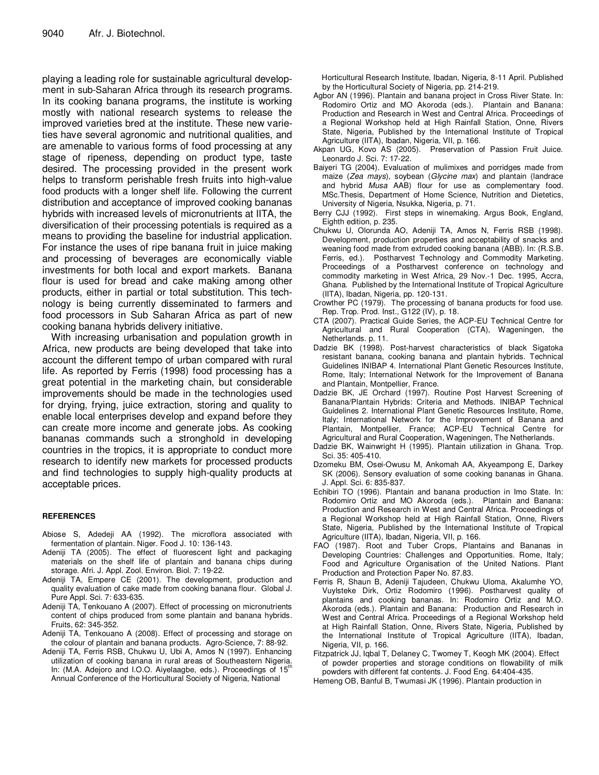playing a leading role for sustainable agricultural development in sub-Saharan Africa through its research programs. In its cooking banana programs, the institute is working mostly with national research systems to release the improved varieties bred at the institute. These new varieties have several agronomic and nutritional qualities, and are amenable to various forms of food processing at any stage of ripeness, depending on product type, taste desired. The processing provided in the present work helps to transform perishable fresh fruits into high-value food products with a longer shelf life. Following the current distribution and acceptance of improved cooking bananas hybrids with increased levels of micronutrients at IITA, the diversification of their processing potentials is required as a means to providing the baseline for industrial application. For instance the uses of ripe banana fruit in juice making and processing of beverages are economically viable investments for both local and export markets. Banana flour is used for bread and cake making among other products, either in partial or total substitution. This technology is being currently disseminated to farmers and food processors in Sub Saharan Africa as part of new cooking banana hybrids delivery initiative.

With increasing urbanisation and population growth in Africa, new products are being developed that take into account the different tempo of urban compared with rural life. As reported by Ferris (1998) food processing has a great potential in the marketing chain, but considerable improvements should be made in the technologies used for drying, frying, juice extraction, storing and quality to enable local enterprises develop and expand before they can create more income and generate jobs. As cooking bananas commands such a stronghold in developing countries in the tropics, it is appropriate to conduct more research to identify new markets for processed products and find technologies to supply high-quality products at acceptable prices.

#### **REFERENCES**

- Abiose S, Adedeji AA (1992). The microflora associated with fermentation of plantain. Niger. Food J. 10: 136-143.
- Adeniji TA (2005). The effect of fluorescent light and packaging materials on the shelf life of plantain and banana chips during storage. Afri. J. Appl. Zool. Environ. Biol. 7: 19-22.
- Adeniji TA, Empere CE (2001). The development, production and quality evaluation of cake made from cooking banana flour. Global J. Pure Appl. Sci. 7: 633-635.
- Adeniji TA, Tenkouano A (2007). Effect of processing on micronutrients content of chips produced from some plantain and banana hybrids. Fruits, 62: 345-352.
- Adeniji TA, Tenkouano A (2008). Effect of processing and storage on the colour of plantain and banana products. Agro-Science, 7: 88-92.
- Adeniji TA, Ferris RSB, Chukwu U, Ubi A, Amos N (1997). Enhancing utilization of cooking banana in rural areas of Southeastern Nigeria. In: (M.A. Adejoro and I.O.O. Aiyelaagbe, eds.). Proceedings of 15<sup>th</sup> Annual Conference of the Horticultural Society of Nigeria, National

Horticultural Research Institute, Ibadan, Nigeria, 8-11 April. Published by the Horticultural Society of Nigeria, pp. 214-219.

- Agbor AN (1996). Plantain and banana project in Cross River State. In: Rodomiro Ortiz and MO Akoroda (eds.). Plantain and Banana: Production and Research in West and Central Africa. Proceedings of a Regional Workshop held at High Rainfall Station, Onne, Rivers State, Nigeria, Published by the International Institute of Tropical Agriculture (IITA), Ibadan, Nigeria, VII, p. 166.
- Akpan UG, Kovo AS (2005). Preservation of Passion Fruit Juice. Leonardo J. Sci. 7: 17-22.
- Baiyeri TG (2004). Evaluation of mulimixes and porridges made from maize (*Zea mays*), soybean (*Glycine max*) and plantain (landrace and hybrid *Musa* AAB) flour for use as complementary food. MSc.Thesis, Department of Home Science, Nutrition and Dietetics, University of Nigeria, Nsukka, Nigeria, p. 71.
- Berry CJJ (1992). First steps in winemaking. Argus Book, England, Eighth edition, p. 235.
- Chukwu U, Olorunda AO, Adeniji TA, Amos N, Ferris RSB (1998). Development, production properties and acceptability of snacks and weaning food made from extruded cooking banana (ABB). In: (R.S.B. Ferris, ed.). Postharvest Technology and Commodity Marketing. Proceedings of a Postharvest conference on technology and commodity marketing in West Africa, 29 Nov.-1 Dec. 1995, Accra, Ghana. Published by the International Institute of Tropical Agriculture (IITA), Ibadan, Nigeria, pp. 120-131.
- Crowther PC (1979). The processing of banana products for food use. Rep. Trop. Prod. Inst., G122 (IV), p. 18.
- CTA (2007). Practical Guide Series, the ACP-EU Technical Centre for Agricultural and Rural Cooperation (CTA), Wageningen, the Netherlands. p. 11.
- Dadzie BK (1998). Post-harvest characteristics of black Sigatoka resistant banana, cooking banana and plantain hybrids. Technical Guidelines INIBAP 4. International Plant Genetic Resources Institute, Rome, Italy; International Network for the Improvement of Banana and Plantain, Montpellier, France.
- Dadzie BK, JE Orchard (1997). Routine Post Harvest Screening of Banana/Plantain Hybrids: Criteria and Methods. INIBAP Technical Guidelines 2. International Plant Genetic Resources Institute, Rome, Italy; International Network for the Improvement of Banana and Plantain, Montpellier, France; ACP-EU Technical Centre for Agricultural and Rural Cooperation, Wageningen, The Netherlands.
- Dadzie BK, Wainwright H (1995). Plantain utilization in Ghana. Trop. Sci. 35: 405-410.
- Dzomeku BM, Osei-Owusu M, Ankomah AA, Akyeampong E, Darkey SK (2006). Sensory evaluation of some cooking bananas in Ghana. J. Appl. Sci. 6: 835-837.
- Echibiri TO (1996). Plantain and banana production in Imo State. In: Rodomiro Ortiz and MO Akoroda (eds.). Plantain and Banana: Production and Research in West and Central Africa. Proceedings of a Regional Workshop held at High Rainfall Station, Onne, Rivers State, Nigeria, Published by the International Institute of Tropical Agriculture (IITA), Ibadan, Nigeria, VII, p. 166.
- FAO (1987). Root and Tuber Crops, Plantains and Bananas in Developing Countries: Challenges and Opportunities. Rome, Italy; Food and Agriculture Organisation of the United Nations. Plant Production and Protection Paper No. 87.83.
- Ferris R, Shaun B, Adeniji Tajudeen, Chukwu Uloma, Akalumhe YO, Vuylsteke Dirk, Ortiz Rodomiro (1996). Postharvest quality of plantains and cooking bananas. In: Rodomiro Ortiz and M.O. Akoroda (eds.). Plantain and Banana: Production and Research in West and Central Africa. Proceedings of a Regional Workshop held at High Rainfall Station, Onne, Rivers State, Nigeria, Published by the International Institute of Tropical Agriculture (IITA), Ibadan, Nigeria, VII, p. 166.
- Fitzpatrick JJ, Iqbal T, Delaney C, Twomey T, Keogh MK (2004). Effect of powder properties and storage conditions on flowability of milk powders with different fat contents. J. Food Eng. 64:404-435.
- Hemeng OB, Banful B, Twumasi JK (1996). Plantain production in